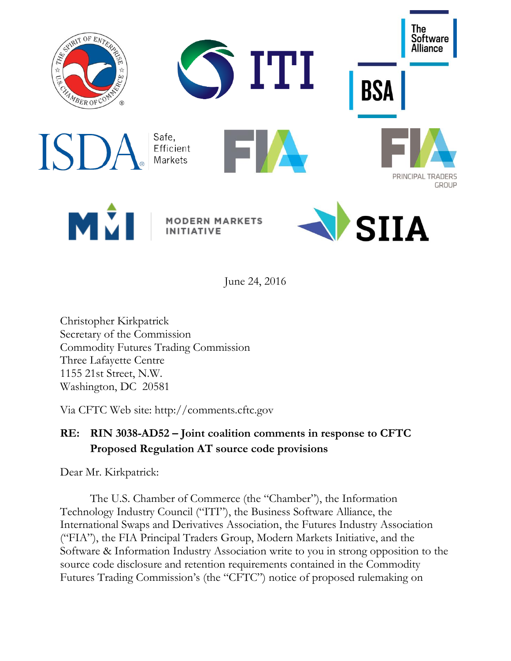

June 24, 2016

Christopher Kirkpatrick Secretary of the Commission Commodity Futures Trading Commission Three Lafayette Centre 1155 21st Street, N.W. Washington, DC 20581

Via CFTC Web site: http://comments.cftc.gov

# **RE: RIN 3038-AD52 – Joint coalition comments in response to CFTC Proposed Regulation AT source code provisions**

Dear Mr. Kirkpatrick:

The U.S. Chamber of Commerce (the "Chamber"), the Information Technology Industry Council ("ITI"), the Business Software Alliance, the International Swaps and Derivatives Association, the Futures Industry Association ("FIA"), the FIA Principal Traders Group, Modern Markets Initiative, and the Software & Information Industry Association write to you in strong opposition to the source code disclosure and retention requirements contained in the Commodity Futures Trading Commission's (the "CFTC") notice of proposed rulemaking on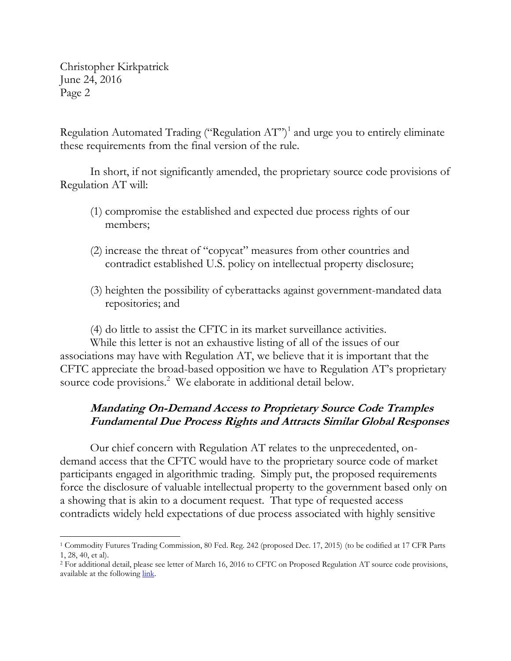Regulation Automated Trading ("Regulation AT")<sup>1</sup> and urge you to entirely eliminate these requirements from the final version of the rule.

In short, if not significantly amended, the proprietary source code provisions of Regulation AT will:

- (1) compromise the established and expected due process rights of our members;
- (2) increase the threat of "copycat" measures from other countries and contradict established U.S. policy on intellectual property disclosure;
- (3) heighten the possibility of cyberattacks against government-mandated data repositories; and

(4) do little to assist the CFTC in its market surveillance activities.

While this letter is not an exhaustive listing of all of the issues of our associations may have with Regulation AT, we believe that it is important that the CFTC appreciate the broad-based opposition we have to Regulation AT's proprietary source code provisions.<sup>2</sup> We elaborate in additional detail below.

## **Mandating On-Demand Access to Proprietary Source Code Tramples Fundamental Due Process Rights and Attracts Similar Global Responses**

Our chief concern with Regulation AT relates to the unprecedented, ondemand access that the CFTC would have to the proprietary source code of market participants engaged in algorithmic trading. Simply put, the proposed requirements force the disclosure of valuable intellectual property to the government based only on a showing that is akin to a document request. That type of requested access contradicts widely held expectations of due process associated with highly sensitive

 $\overline{\phantom{a}}$ <sup>1</sup> Commodity Futures Trading Commission, 80 Fed. Reg. 242 (proposed Dec. 17, 2015) (to be codified at 17 CFR Parts 1, 28, 40, et al).

<sup>2</sup> For additional detail, please see letter of March 16, 2016 to CFTC on Proposed Regulation AT source code provisions, available at the followin[g link.](https://www.itic.org/dotAsset/469665b9-7552-4763-9569-b835eb81a585.pdf)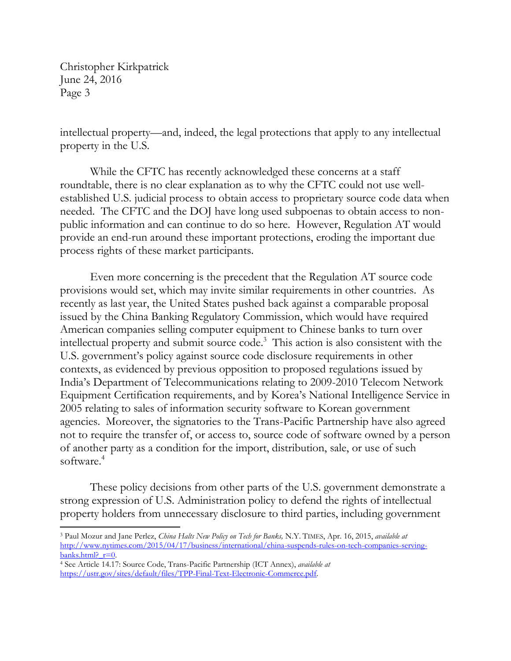$\overline{\phantom{a}}$ 

intellectual property—and, indeed, the legal protections that apply to any intellectual property in the U.S.

While the CFTC has recently acknowledged these concerns at a staff roundtable, there is no clear explanation as to why the CFTC could not use wellestablished U.S. judicial process to obtain access to proprietary source code data when needed. The CFTC and the DOJ have long used subpoenas to obtain access to nonpublic information and can continue to do so here. However, Regulation AT would provide an end-run around these important protections, eroding the important due process rights of these market participants.

Even more concerning is the precedent that the Regulation AT source code provisions would set, which may invite similar requirements in other countries. As recently as last year, the United States pushed back against a comparable proposal issued by the China Banking Regulatory Commission, which would have required American companies selling computer equipment to Chinese banks to turn over intellectual property and submit source code. 3 This action is also consistent with the U.S. government's policy against source code disclosure requirements in other contexts, as evidenced by previous opposition to proposed regulations issued by India's Department of Telecommunications relating to 2009-2010 Telecom Network Equipment Certification requirements, and by Korea's National Intelligence Service in 2005 relating to sales of information security software to Korean government agencies. Moreover, the signatories to the Trans-Pacific Partnership have also agreed not to require the transfer of, or access to, source code of software owned by a person of another party as a condition for the import, distribution, sale, or use of such software.<sup>4</sup>

These policy decisions from other parts of the U.S. government demonstrate a strong expression of U.S. Administration policy to defend the rights of intellectual property holders from unnecessary disclosure to third parties, including government

<sup>3</sup> Paul Mozur and Jane Perlez, *China Halts New Policy on Tech for Banks,* N.Y. TIMES, Apr. 16, 2015, *available at* [http://www.nytimes.com/2015/04/17/business/international/china-suspends-rules-on-tech-companies-serving](http://www.nytimes.com/2015/04/17/business/international/china-suspends-rules-on-tech-companies-serving-banks.html?_r=0)banks.html?  $r=0$ .

<sup>4</sup> See Article 14.17: Source Code, Trans-Pacific Partnership (ICT Annex), *available at*  <https://ustr.gov/sites/default/files/TPP-Final-Text-Electronic-Commerce.pdf>*.*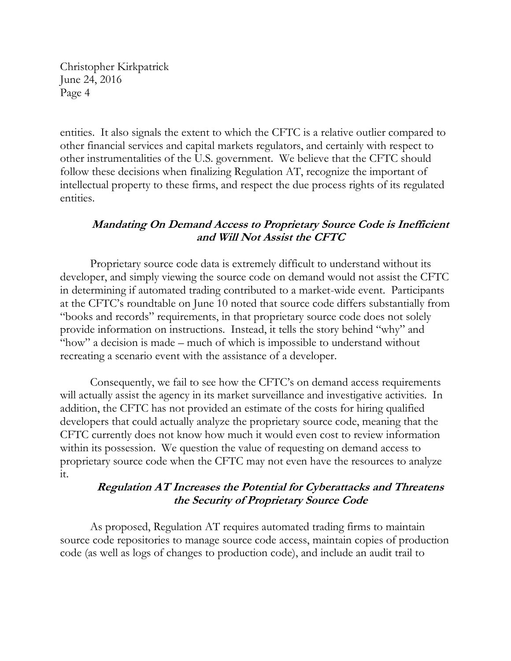entities. It also signals the extent to which the CFTC is a relative outlier compared to other financial services and capital markets regulators, and certainly with respect to other instrumentalities of the U.S. government. We believe that the CFTC should follow these decisions when finalizing Regulation AT, recognize the important of intellectual property to these firms, and respect the due process rights of its regulated entities.

### **Mandating On Demand Access to Proprietary Source Code is Inefficient and Will Not Assist the CFTC**

Proprietary source code data is extremely difficult to understand without its developer, and simply viewing the source code on demand would not assist the CFTC in determining if automated trading contributed to a market-wide event. Participants at the CFTC's roundtable on June 10 noted that source code differs substantially from "books and records" requirements, in that proprietary source code does not solely provide information on instructions. Instead, it tells the story behind "why" and "how" a decision is made – much of which is impossible to understand without recreating a scenario event with the assistance of a developer.

Consequently, we fail to see how the CFTC's on demand access requirements will actually assist the agency in its market surveillance and investigative activities. In addition, the CFTC has not provided an estimate of the costs for hiring qualified developers that could actually analyze the proprietary source code, meaning that the CFTC currently does not know how much it would even cost to review information within its possession. We question the value of requesting on demand access to proprietary source code when the CFTC may not even have the resources to analyze it.

### **Regulation AT Increases the Potential for Cyberattacks and Threatens the Security of Proprietary Source Code**

As proposed, Regulation AT requires automated trading firms to maintain source code repositories to manage source code access, maintain copies of production code (as well as logs of changes to production code), and include an audit trail to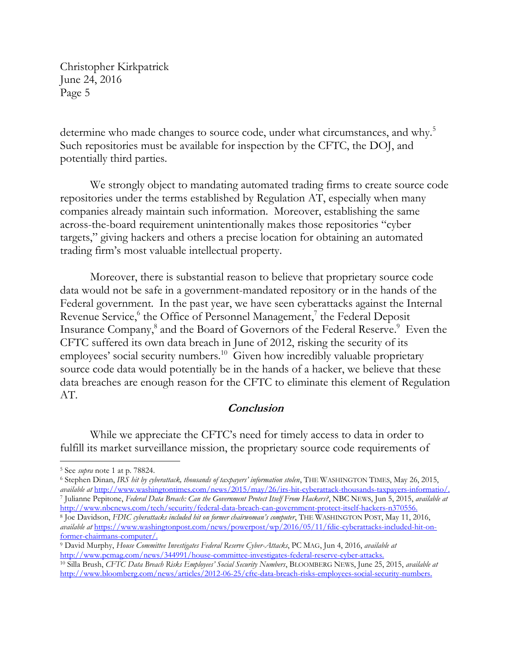determine who made changes to source code, under what circumstances, and why.<sup>5</sup> Such repositories must be available for inspection by the CFTC, the DOJ, and potentially third parties.

We strongly object to mandating automated trading firms to create source code repositories under the terms established by Regulation AT, especially when many companies already maintain such information. Moreover, establishing the same across-the-board requirement unintentionally makes those repositories "cyber targets," giving hackers and others a precise location for obtaining an automated trading firm's most valuable intellectual property.

Moreover, there is substantial reason to believe that proprietary source code data would not be safe in a government-mandated repository or in the hands of the Federal government. In the past year, we have seen cyberattacks against the Internal Revenue Service,<sup>6</sup> the Office of Personnel Management,<sup>7</sup> the Federal Deposit Insurance Company,<sup>8</sup> and the Board of Governors of the Federal Reserve.<sup>9</sup> Even the CFTC suffered its own data breach in June of 2012, risking the security of its employees' social security numbers.<sup>10</sup> Given how incredibly valuable proprietary source code data would potentially be in the hands of a hacker, we believe that these data breaches are enough reason for the CFTC to eliminate this element of Regulation AT.

#### **Conclusion**

While we appreciate the CFTC's need for timely access to data in order to fulfill its market surveillance mission, the proprietary source code requirements of

 $\overline{\phantom{a}}$ 

<sup>5</sup> See *supra* note 1 at p. 78824.

<sup>6</sup> Stephen Dinan, *IRS hit by cyberattack, thousands of taxpayers' information stolen*, THE WASHINGTON TIMES, May 26, 2015, *available at* [http://www.washingtontimes.com/news/2015/may/26/irs-hit-cyberattack-thousands-taxpayers-informatio/.](http://www.washingtontimes.com/news/2015/may/26/irs-hit-cyberattack-thousands-taxpayers-informatio/) 7 Julianne Pepitone, *Federal Data Breach: Can the Government Protect Itself From Hackers?*, NBC NEWS, Jun 5, 2015, *available at* 

[http://www.nbcnews.com/tech/security/federal-data-breach-can-government-protect-itself-hackers-n370556.](http://www.nbcnews.com/tech/security/federal-data-breach-can-government-protect-itself-hackers-n370556) 8 Joe Davidson, *FDIC cyberattacks included hit on former chairwoman's computer*, THE WASHINGTON POST, May 11, 2016,

*available at* [https://www.washingtonpost.com/news/powerpost/wp/2016/05/11/fdic-cyberattacks-included-hit-on](https://www.washingtonpost.com/news/powerpost/wp/2016/05/11/fdic-cyberattacks-included-hit-on-former-chairmans-computer/)[former-chairmans-computer/.](https://www.washingtonpost.com/news/powerpost/wp/2016/05/11/fdic-cyberattacks-included-hit-on-former-chairmans-computer/)

<sup>9</sup> David Murphy, *House Committee Investigates Federal Reserve Cyber-Attacks*, PC MAG, Jun 4, 2016, *available at* [http://www.pcmag.com/news/344991/house-committee-investigates-federal-reserve-cyber-attacks.](http://www.pcmag.com/news/344991/house-committee-investigates-federal-reserve-cyber-attacks)

<sup>10</sup> Silla Brush, *CFTC Data Breach Risks Employees' Social Security Numbers*, BLOOMBERG NEWS, June 25, 2015, *available at* [http://www.bloomberg.com/news/articles/2012-06-25/cftc-data-breach-risks-employees-social-security-numbers.](http://www.bloomberg.com/news/articles/2012-06-25/cftc-data-breach-risks-employees-social-security-numbers)